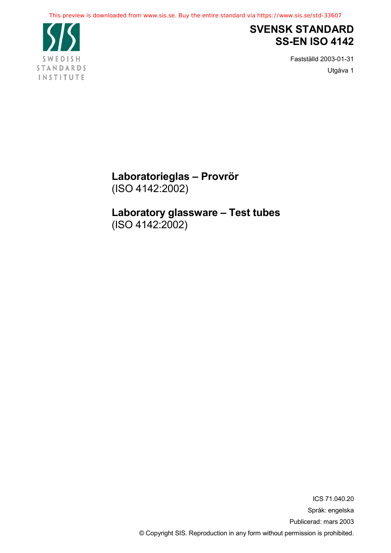

## **SVENSK STANDARD SS-EN ISO 4142**

Fastställd 2003-01-31 Utgåva 1

**Laboratorieglas – Provrör** (ISO 4142:2002)

**Laboratory glassware – Test tubes** (ISO 4142:2002)

> ICS 71.040.20 Språk: engelska Publicerad: mars 2003 © Copyright SIS. Reproduction in any form without permission is prohibited.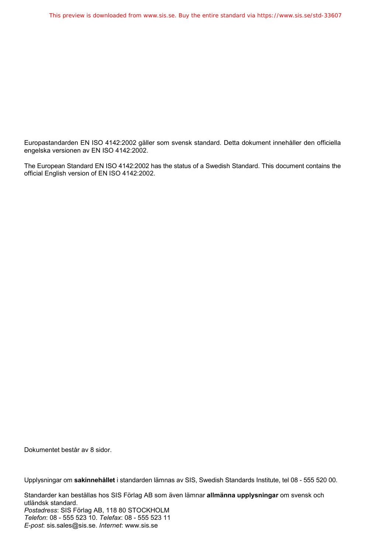Europastandarden EN ISO 4142:2002 gäller som svensk standard. Detta dokument innehåller den officiella engelska versionen av EN ISO 4142:2002.

The European Standard EN ISO 4142:2002 has the status of a Swedish Standard. This document contains the official English version of EN ISO 4142:2002.

Dokumentet består av 8 sidor.

Upplysningar om **sakinnehållet** i standarden lämnas av SIS, Swedish Standards Institute, tel 08 - 555 520 00.

Standarder kan beställas hos SIS Förlag AB som även lämnar **allmänna upplysningar** om svensk och utländsk standard. *Postadress*: SIS Förlag AB, 118 80 STOCKHOLM *Telefon*: 08 - 555 523 10. *Telefax*: 08 - 555 523 11 *E-post*: sis.sales@sis.se. *Internet*: www.sis.se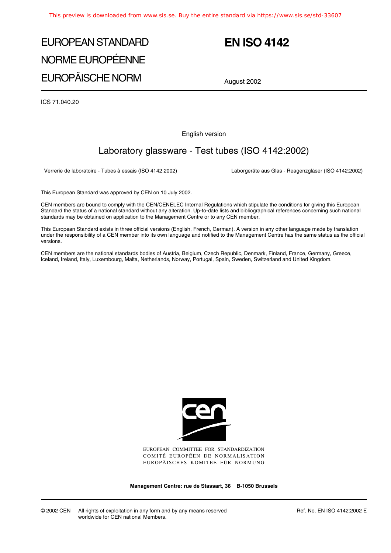# EUROPEAN STANDARD NORME EUROPÉENNE EUROPÄISCHE NORM

## **EN ISO 4142**

August 2002

ICS 71.040.20

English version

## Laboratory glassware - Test tubes (ISO 4142:2002)

Verrerie de laboratoire - Tubes à essais (ISO 4142:2002) Laborgeräte aus Glas - Reagenzgläser (ISO 4142:2002)

This European Standard was approved by CEN on 10 July 2002.

CEN members are bound to comply with the CEN/CENELEC Internal Regulations which stipulate the conditions for giving this European Standard the status of a national standard without any alteration. Up-to-date lists and bibliographical references concerning such national standards may be obtained on application to the Management Centre or to any CEN member.

This European Standard exists in three official versions (English, French, German). A version in any other language made by translation under the responsibility of a CEN member into its own language and notified to the Management Centre has the same status as the official versions.

CEN members are the national standards bodies of Austria, Belgium, Czech Republic, Denmark, Finland, France, Germany, Greece, Iceland, Ireland, Italy, Luxembourg, Malta, Netherlands, Norway, Portugal, Spain, Sweden, Switzerland and United Kingdom.



EUROPEAN COMMITTEE FOR STANDARDIZATION COMITÉ EUROPÉEN DE NORMALISATION EUROPÄISCHES KOMITEE FÜR NORMUNG

**Management Centre: rue de Stassart, 36 B-1050 Brussels**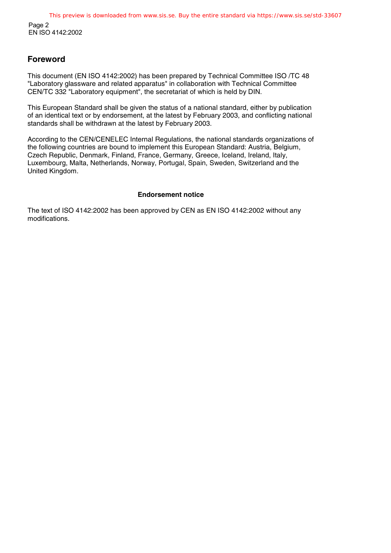### **Foreword**

This document (EN ISO 4142:2002) has been prepared by Technical Committee ISO /TC 48 "Laboratory glassware and related apparatus" in collaboration with Technical Committee CEN/TC 332 "Laboratory equipment", the secretariat of which is held by DIN.

This European Standard shall be given the status of a national standard, either by publication of an identical text or by endorsement, at the latest by February 2003, and conflicting national standards shall be withdrawn at the latest by February 2003.

According to the CEN/CENELEC Internal Regulations, the national standards organizations of the following countries are bound to implement this European Standard: Austria, Belgium, Czech Republic, Denmark, Finland, France, Germany, Greece, Iceland, Ireland, Italy, Luxembourg, Malta, Netherlands, Norway, Portugal, Spain, Sweden, Switzerland and the United Kingdom.

#### **Endorsement notice**

The text of ISO 4142:2002 has been approved by CEN as EN ISO 4142:2002 without any modifications.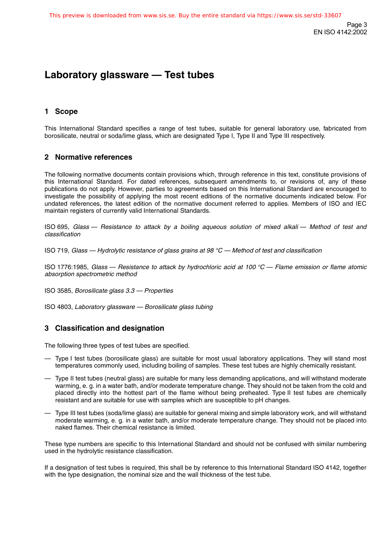Page 3 EN ISO 4142:2002

## **Laboratory glassware — Test tubes**

## **1 Scope**

This International Standard specifies a range of test tubes, suitable for general laboratory use, fabricated from borosilicate, neutral or soda/lime glass, which are designated Type I, Type II and Type III respectively.

### **2 Normative references**

The following normative documents contain provisions which, through reference in this text, constitute provisions of this International Standard. For dated references, subsequent amendments to, or revisions of, any of these publications do not apply. However, parties to agreements based on this International Standard are encouraged to investigate the possibility of applying the most recent editions of the normative documents indicated below. For undated references, the latest edition of the normative document referred to applies. Members of ISO and IEC maintain registers of currently valid International Standards.

ISO 695, Glass — Resistance to attack by a boiling aqueous solution of mixed alkali — Method of test and classification

ISO 719, Glass — Hydrolytic resistance of glass grains at 98  $^{\circ}$ C — Method of test and classification

ISO 1776:1985, Glass — Resistance to attack by hydrochloric acid at 100  $^{\circ}$ C — Flame emission or flame atomic absorption spectrometric method

ISO 3585, Borosilicate glass 3.3 — Properties

ISO 4803, Laboratory glassware — Borosilicate glass tubing

### **3 Classification and designation**

The following three types of test tubes are specified.

- Type I test tubes (borosilicate glass) are suitable for most usual laboratory applications. They will stand most temperatures commonly used, including boiling of samples. These test tubes are highly chemically resistant.
- Type II test tubes (neutral glass) are suitable for many less demanding applications, and will withstand moderate warming, e. g. in a water bath, and/or moderate temperature change. They should not be taken from the cold and placed directly into the hottest part of the flame without being preheated. Type II test tubes are chemically resistant and are suitable for use with samples which are susceptible to pH changes.
- Type III test tubes (soda/lime glass) are suitable for general mixing and simple laboratory work, and will withstand moderate warming, e. g. in a water bath, and/or moderate temperature change. They should not be placed into naked flames. Their chemical resistance is limited.

These type numbers are specific to this International Standard and should not be confused with similar numbering used in the hydrolytic resistance classification.

If a designation of test tubes is required, this shall be by reference to this International Standard ISO 4142, together with the type designation, the nominal size and the wall thickness of the test tube.